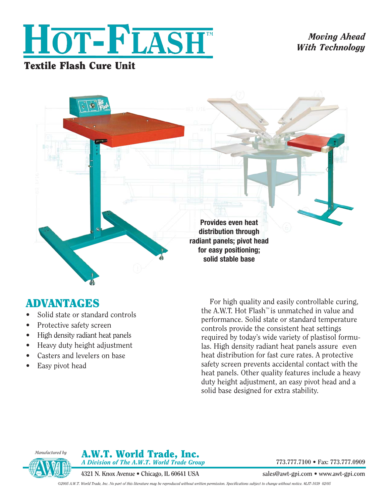

*Moving Ahead With Technology*

## Textile Flash Cure Unit



# ADVANTAGES

- Solid state or standard controls
- Protective safety screen
- High density radiant heat panels
- Heavy duty height adjustment
- Casters and levelers on base
- Easy pivot head

For high quality and easily controllable curing, the A.W.T. Hot Flash™ is unmatched in value and performance. Solid state or standard temperature controls provide the consistent heat settings required by today's wide variety of plastisol formulas. High density radiant heat panels assure even heat distribution for fast cure rates. A protective safety screen prevents accidental contact with the heat panels. Other quality features include a heavy duty height adjustment, an easy pivot head and a solid base designed for extra stability.



#### A.W.T. World Trade, Inc. *A Division of The A.W.T. World Trade Group*

**4321 N. Knox Avenue • Chicago, IL 60641 USA** 

**773.777.7100 • Fax: 773.777.0909**

**sales@awt-gpi.com • www.awt-gpi.com**

*©2005 A.W.T. World Trade, Inc. No part of this literature may be reproduced without written permission. Specifications subject to change without notice. #LIT-1039 02/05*